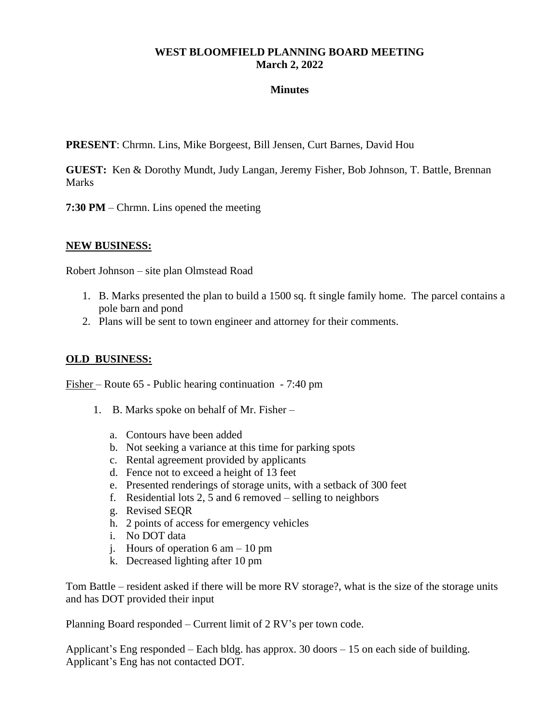## **WEST BLOOMFIELD PLANNING BOARD MEETING March 2, 2022**

## **Minutes**

**PRESENT**: Chrmn. Lins, Mike Borgeest, Bill Jensen, Curt Barnes, David Hou

**GUEST:** Ken & Dorothy Mundt, Judy Langan, Jeremy Fisher, Bob Johnson, T. Battle, Brennan **Marks** 

**7:30 PM** – Chrmn. Lins opened the meeting

## **NEW BUSINESS:**

Robert Johnson – site plan Olmstead Road

- 1. B. Marks presented the plan to build a 1500 sq. ft single family home. The parcel contains a pole barn and pond
- 2. Plans will be sent to town engineer and attorney for their comments.

## **OLD BUSINESS:**

Fisher – Route 65 - Public hearing continuation - 7:40 pm

- 1. B. Marks spoke on behalf of Mr. Fisher
	- a. Contours have been added
	- b. Not seeking a variance at this time for parking spots
	- c. Rental agreement provided by applicants
	- d. Fence not to exceed a height of 13 feet
	- e. Presented renderings of storage units, with a setback of 300 feet
	- f. Residential lots 2, 5 and 6 removed selling to neighbors
	- g. Revised SEQR
	- h. 2 points of access for emergency vehicles
	- i. No DOT data
	- j. Hours of operation  $6 \text{ am} 10 \text{ pm}$
	- k. Decreased lighting after 10 pm

Tom Battle – resident asked if there will be more RV storage?, what is the size of the storage units and has DOT provided their input

Planning Board responded – Current limit of 2 RV's per town code.

Applicant's Eng responded – Each bldg. has approx. 30 doors – 15 on each side of building. Applicant's Eng has not contacted DOT.